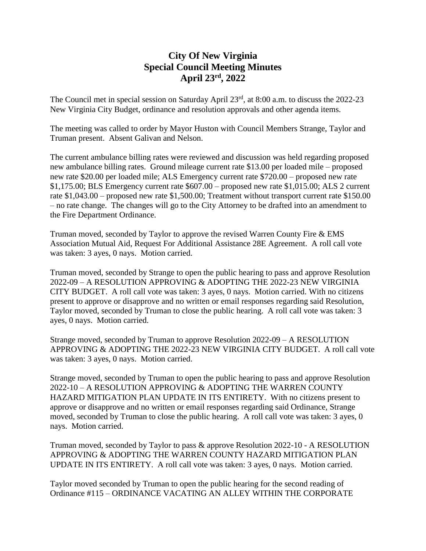## **City Of New Virginia Special Council Meeting Minutes April 23rd , 2022**

The Council met in special session on Saturday April 23<sup>rd</sup>, at 8:00 a.m. to discuss the 2022-23 New Virginia City Budget, ordinance and resolution approvals and other agenda items.

The meeting was called to order by Mayor Huston with Council Members Strange, Taylor and Truman present. Absent Galivan and Nelson.

The current ambulance billing rates were reviewed and discussion was held regarding proposed new ambulance billing rates. Ground mileage current rate \$13.00 per loaded mile – proposed new rate \$20.00 per loaded mile; ALS Emergency current rate \$720.00 – proposed new rate \$1,175.00; BLS Emergency current rate \$607.00 – proposed new rate \$1,015.00; ALS 2 current rate \$1,043.00 – proposed new rate \$1,500.00; Treatment without transport current rate \$150.00 – no rate change. The changes will go to the City Attorney to be drafted into an amendment to the Fire Department Ordinance.

Truman moved, seconded by Taylor to approve the revised Warren County Fire & EMS Association Mutual Aid, Request For Additional Assistance 28E Agreement. A roll call vote was taken: 3 ayes, 0 nays. Motion carried.

Truman moved, seconded by Strange to open the public hearing to pass and approve Resolution 2022-09 – A RESOLUTION APPROVING & ADOPTING THE 2022-23 NEW VIRGINIA CITY BUDGET. A roll call vote was taken: 3 ayes, 0 nays. Motion carried. With no citizens present to approve or disapprove and no written or email responses regarding said Resolution, Taylor moved, seconded by Truman to close the public hearing. A roll call vote was taken: 3 ayes, 0 nays. Motion carried.

Strange moved, seconded by Truman to approve Resolution 2022-09 – A RESOLUTION APPROVING & ADOPTING THE 2022-23 NEW VIRGINIA CITY BUDGET. A roll call vote was taken: 3 ayes, 0 nays. Motion carried.

Strange moved, seconded by Truman to open the public hearing to pass and approve Resolution 2022-10 – A RESOLUTION APPROVING & ADOPTING THE WARREN COUNTY HAZARD MITIGATION PLAN UPDATE IN ITS ENTIRETY. With no citizens present to approve or disapprove and no written or email responses regarding said Ordinance, Strange moved, seconded by Truman to close the public hearing. A roll call vote was taken: 3 ayes, 0 nays. Motion carried.

Truman moved, seconded by Taylor to pass & approve Resolution 2022-10 - A RESOLUTION APPROVING & ADOPTING THE WARREN COUNTY HAZARD MITIGATION PLAN UPDATE IN ITS ENTIRETY. A roll call vote was taken: 3 ayes, 0 nays. Motion carried.

Taylor moved seconded by Truman to open the public hearing for the second reading of Ordinance #115 – ORDINANCE VACATING AN ALLEY WITHIN THE CORPORATE